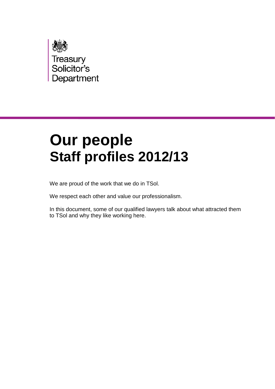

# **Our people Staff profiles 2012/13**

We are proud of the work that we do in TSol.

We respect each other and value our professionalism.

In this document, some of our qualified lawyers talk about what attracted them to TSol and why they like working here.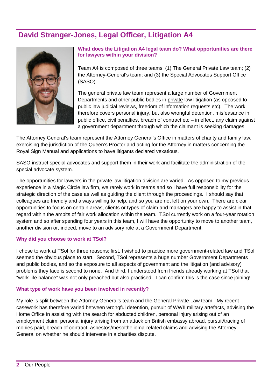# **David Stranger-Jones, Legal Officer, Litigation A4**



**What does the Litigation A4 legal team do? What opportunities are there for lawyers within your division?**

Team A4 is composed of three teams: (1) The General Private Law team; (2) the Attorney-General's team; and (3) the Special Advocates Support Office (SASO).

The general private law team represent a large number of Government Departments and other public bodies in private law litigation (as opposed to public law judicial reviews, freedom of information requests etc). The work therefore covers personal injury, but also wrongful detention, misfeasance in public office, civil penalties, breach of contract etc – in effect, any claim against a government department through which the claimant is seeking damages.

The Attorney General's team represent the Attorney General's Office in matters of charity and family law, exercising the jurisdiction of the Queen's Proctor and acting for the Attorney in matters concerning the Royal Sign Manual and applications to have litigants declared vexatious.

SASO instruct special advocates and support them in their work and facilitate the administration of the special advocate system.

The opportunities for lawyers in the private law litigation division are varied. As opposed to my previous experience in a Magic Circle law firm, we rarely work in teams and so I have full responsibility for the strategic direction of the case as well as guiding the client through the proceedings. I should say that colleagues are friendly and always willing to help, and so you are not left on your own. There are clear opportunities to focus on certain areas, clients or types of claim and managers are happy to assist in that regard within the ambits of fair work allocation within the team. TSol currently work on a four-year rotation system and so after spending four years in this team, I will have the opportunity to move to another team, another division or, indeed, move to an advisory role at a Government Department.

### **Why did you choose to work at TSol?**

I chose to work at TSol for three reasons: first, I wished to practice more government-related law and TSol seemed the obvious place to start. Second, TSol represents a huge number Government Departments and public bodies, and so the exposure to all aspects of government and the litigation (and advisory) problems they face is second to none. And third, I understood from friends already working at TSol that "work-life balance" was not only preached but also practised. I can confirm this is the case since joining!

### **What type of work have you been involved in recently?**

My role is split between the Attorney General's team and the General Private Law team. My recent casework has therefore varied between wrongful detention, pursuit of WWII military artefacts, advising the Home Office in assisting with the search for abducted children, personal injury arising out of an employment claim, personal injury arising from an attack on British embassy abroad, pursuit/tracing of monies paid, breach of contract, asbestos/mesolthelioma-related claims and advising the Attorney General on whether he should intervene in a charities dispute.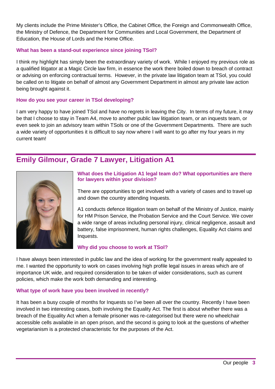My clients include the Prime Minister's Office, the Cabinet Office, the Foreign and Commonwealth Office, the Ministry of Defence, the Department for Communities and Local Government, the Department of Education, the House of Lords and the Home Office.

### **What has been a stand-out experience since joining TSol?**

I think my highlight has simply been the extraordinary variety of work. While I enjoyed my previous role as a qualified litigator at a Magic Circle law firm, in essence the work there boiled down to breach of contract or advising on enforcing contractual terms. However, in the private law litigation team at TSol, you could be called on to litigate on behalf of almost any Government Department in almost any private law action being brought against it.

### **How do you see your career in TSol developing?**

I am very happy to have joined TSol and have no regrets in leaving the City. In terms of my future, it may be that I choose to stay in Team A4, move to another public law litigation team, or an inquests team, or even seek to join an advisory team within TSols or one of the Government Departments. There are such a wide variety of opportunities it is difficult to say now where I will want to go after my four years in my current team!

## **Emily Gilmour, Grade 7 Lawyer, Litigation A1**



### **What does the Litigation A1 legal team do? What opportunities are there for lawyers within your division?**

There are opportunities to get involved with a variety of cases and to travel up and down the country attending Inquests.

A1 conducts defence litigation team on behalf of the Ministry of Justice, mainly for HM Prison Service, the Probation Service and the Court Service. We cover a wide range of areas including personal injury, clinical negligence, assault and battery, false imprisonment, human rights challenges, Equality Act claims and Inquests.

### **Why did you choose to work at TSol?**

I have always been interested in public law and the idea of working for the government really appealed to me. I wanted the opportunity to work on cases involving high profile legal issues in areas which are of importance UK wide, and required consideration to be taken of wider considerations, such as current policies, which make the work both demanding and interesting.

### **What type of work have you been involved in recently?**

It has been a busy couple of months for Inquests so I've been all over the country. Recently I have been involved in two interesting cases, both involving the Equality Act. The first is about whether there was a breach of the Equality Act when a female prisoner was re-categorised but there were no wheelchair accessible cells available in an open prison, and the second is going to look at the questions of whether vegetarianism is a protected characteristic for the purposes of the Act.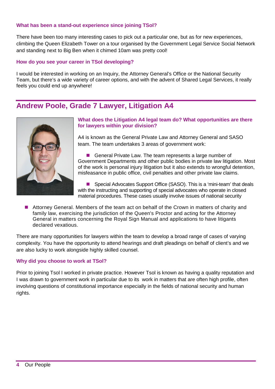### **What has been a stand-out experience since joining TSol?**

There have been too many interesting cases to pick out a particular one, but as for new experiences, climbing the Queen Elizabeth Tower on a tour organised by the Government Legal Service Social Network and standing next to Big Ben when it chimed 10am was pretty cool!

### **How do you see your career in TSol developing?**

I would be interested in working on an Inquiry, the Attorney General's Office or the National Security Team, but there's a wide variety of career options, and with the advent of Shared Legal Services, it really feels you could end up anywhere!

### **Andrew Poole, Grade 7 Lawyer, Litigation A4**



### **What does the Litigation A4 legal team do? What opportunities are there for lawyers within your division?**

A4 is known as the General Private Law and Attorney General and SASO team. The team undertakes 3 areas of government work:

General Private Law. The team represents a large number of Government Departments and other public bodies in private law litigation. Most of the work is personal injury litigation but it also extends to wrongful detention, misfeasance in public office, civil penalties and other private law claims.

 Special Advocates Support Office (SASO). This is a 'mini-team' that deals with the instructing and supporting of special advocates who operate in closed material procedures. These cases usually involve issues of national security

 Attorney General. Members of the team act on behalf of the Crown in matters of charity and family law, exercising the jurisdiction of the Queen's Proctor and acting for the Attorney General in matters concerning the Royal Sign Manual and applications to have litigants declared vexatious.

There are many opportunities for lawyers within the team to develop a broad range of cases of varying complexity. You have the opportunity to attend hearings and draft pleadings on behalf of client's and we are also lucky to work alongside highly skilled counsel.

### **Why did you choose to work at TSol?**

Prior to joining Tsol I worked in private practice. However Tsol is known as having a quality reputation and I was drawn to government work in particular due to its work in matters that are often high profile, often involving questions of constitutional importance especially in the fields of national security and human rights.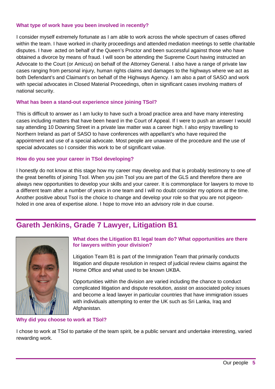### **What type of work have you been involved in recently?**

I consider myself extremely fortunate as I am able to work across the whole spectrum of cases offered within the team. I have worked in charity proceedings and attended mediation meetings to settle charitable disputes. I have acted on behalf of the Queen's Proctor and been successful against those who have obtained a divorce by means of fraud. I will soon be attending the Supreme Court having instructed an Advocate to the Court (or Amicus) on behalf of the Attorney General. I also have a range of private law cases ranging from personal injury, human rights claims and damages to the highways where we act as both Defendant's and Claimant's on behalf of the Highways Agency. I am also a part of SASO and work with special advocates in Closed Material Proceedings, often in significant cases involving matters of national security.

### **What has been a stand-out experience since joining TSol?**

This is difficult to answer as I am lucky to have such a broad practice area and have many interesting cases including matters that have been heard in the Court of Appeal. If I were to push an answer I would say attending 10 Downing Street in a private law matter was a career high. I also enjoy travelling to Northern Ireland as part of SASO to have conferences with appellant's who have required the appointment and use of a special advocate. Most people are unaware of the procedure and the use of special advocates so I consider this work to be of significant value.

### **How do you see your career in TSol developing?**

I honestly do not know at this stage how my career may develop and that is probably testimony to one of the great benefits of joining Tsol. When you join Tsol you are part of the GLS and therefore there are always new opportunities to develop your skills and your career. It is commonplace for lawyers to move to a different team after a number of years in one team and I will no doubt consider my options at the time. Another positive about Tsol is the choice to change and develop your role so that you are not pigeonholed in one area of expertise alone. I hope to move into an advisory role in due course.

## **Gareth Jenkins, Grade 7 Lawyer, Litigation B1**



### **What does the Litigation B1 legal team do? What opportunities are there for lawyers within your division?**

Litigation Team B1 is part of the Immigration Team that primarily conducts litigation and dispute resolution in respect of judicial review claims against the Home Office and what used to be known UKBA.

Opportunities within the division are varied including the chance to conduct complicated litigation and dispute resolution, assist on associated policy issues and become a lead lawyer in particular countries that have immigration issues with individuals attempting to enter the UK such as Sri Lanka, Iraq and Afghanistan.

### **Why did you choose to work at TSol?**

I chose to work at TSol to partake of the team spirit, be a public servant and undertake interesting, varied rewarding work.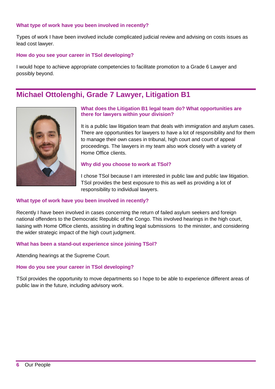### **What type of work have you been involved in recently?**

Types of work I have been involved include complicated judicial review and advising on costs issues as lead cost lawyer.

### **How do you see your career in TSol developing?**

I would hope to achieve appropriate competencies to facilitate promotion to a Grade 6 Lawyer and possibly beyond.

### **Michael Ottolenghi, Grade 7 Lawyer, Litigation B1**



### **What does the Litigation B1 legal team do? What opportunities are there for lawyers within your division?**

It is a public law litigation team that deals with immigration and asylum cases. There are opportunities for lawyers to have a lot of responsibility and for them to manage their own cases in tribunal, high court and court of appeal proceedings. The lawyers in my team also work closely with a variety of Home Office clients.

### **Why did you choose to work at TSol?**

I chose TSol because I am interested in public law and public law litigation. TSol provides the best exposure to this as well as providing a lot of responsibility to individual lawyers.

### **What type of work have you been involved in recently?**

Recently I have been involved in cases concerning the return of failed asylum seekers and foreign national offenders to the Democratic Republic of the Congo. This involved hearings in the high court, liaising with Home Office clients, assisting in drafting legal submissions to the minister, and considering the wider strategic impact of the high court judgment.

### **What has been a stand-out experience since joining TSol?**

Attending hearings at the Supreme Court.

### **How do you see your career in TSol developing?**

TSol provides the opportunity to move departments so I hope to be able to experience different areas of public law in the future, including advisory work.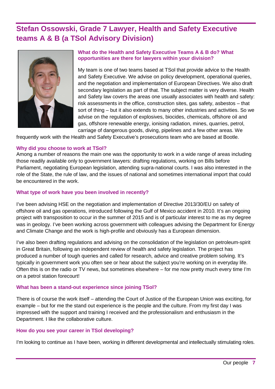# **Stefan Ossowski, Grade 7 Lawyer, Health and Safety Executive teams A & B (a TSol Advisory Division)**



### **What do the Health and Safety Executive Teams A & B do? What opportunities are there for lawyers within your division?**

My team is one of two teams based at TSol that provide advice to the Health and Safety Executive. We advise on policy development, operational queries, and the negotiation and implementation of European Directives. We also draft secondary legislation as part of that. The subject matter is very diverse. Health and Safety law covers the areas one usually associates with health and safety: risk assessments in the office, construction sites, gas safety, asbestos – that sort of thing – but it also extends to many other industries and activities. So we advise on the regulation of explosives, biocides, chemicals, offshore oil and gas, offshore renewable energy, ionising radiation, mines, quarries, petrol, carriage of dangerous goods, diving, pipelines and a few other areas. We

frequently work with the Health and Safety Executive's prosecutions team who are based at Bootle.

### **Why did you choose to work at TSol?**

Among a number of reasons the main one was the opportunity to work in a wide range of areas including those readily available only to government lawyers: drafting regulations, working on Bills before Parliament, negotiating European legislation, attending supra-national courts. I was also interested in the role of the State, the rule of law, and the issues of national and sometimes international import that could be encountered in the work.

### **What type of work have you been involved in recently?**

I've been advising HSE on the negotiation and implementation of Directive 2013/30/EU on safety of offshore oil and gas operations, introduced following the Gulf of Mexico accident in 2010. It's an ongoing project with transposition to occur in the summer of 2015 and is of particular interest to me as my degree was in geology. I've been working across government with colleagues advising the Department for Energy and Climate Change and the work is high-profile and obviously has a European dimension.

I've also been drafting regulations and advising on the consolidation of the legislation on petroleum-spirit in Great Britain, following an independent review of health and safety legislation. The project has produced a number of tough queries and called for research, advice and creative problem solving. It's typically in government work you often see or hear about the subject you're working on in everyday life. Often this is on the radio or TV news, but sometimes elsewhere – for me now pretty much every time I'm on a petrol station forecourt!

### **What has been a stand-out experience since joining TSol?**

There is of course the work itself – attending the Court of Justice of the European Union was exciting, for example – but for me the stand out experience is the people and the culture. From my first day I was impressed with the support and training I received and the professionalism and enthusiasm in the Department. I like the collaborative culture.

### **How do you see your career in TSol developing?**

I'm looking to continue as I have been, working in different developmental and intellectually stimulating roles.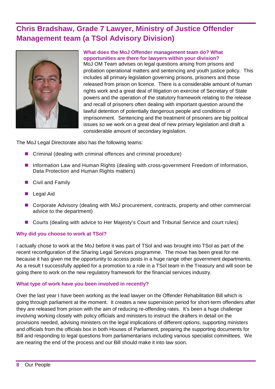# **Chris Bradshaw, Grade 7 Lawyer, Ministry of Justice Offender Management team (a TSol Advisory Division)**



#### **What does the MoJ Offender management team do? What opportunities are there for lawyers within your division?**

MoJ OM Team advises on legal questions arising from prisons and probation operational matters and sentencing and youth justice policy. This includes all primary legislation governing prisons, prisoners and those released from prison on licence. There is a considerable amount of human rights work and a great deal of litigation on exercise of Secretary of State powers and the operation of the statutory framework relating to the release and recall of prisoners often dealing with important question around the lawful detention of potentially dangerous people and conditions of imprisonment. Sentencing and the treatment of prisoners are big political issues so we work on a great deal of new primary legislation and draft a considerable amount of secondary legislation.

The MoJ Legal Directorate also has the following teams:

- Criminal (dealing with criminal offences and criminal procedure)
- **Information Law and Human Rights (dealing with cross-government Freedom of Information,** Data Protection and Human Rights matters)
- Civil and Family
- Legal Aid
- Corporate Advisory (dealing with MoJ procurement, contracts, property and other commercial advice to the department)
- Courts (dealing with advice to Her Majesty's Court and Tribunal Service and court rules)

### **Why did you choose to work at TSol?**

I actually chose to work at the MoJ before it was part of TSol and was brought into TSol as part of the recent reconfiguration of the Sharing Legal Services programme. The move has been great for me because it has given me the opportunity to access posts in a huge range other government departments. As a result I successfully applied for a promotion to a role in a TSol team in the Treasury and will soon be going there to work on the new regulatory framework for the financial services industry.

### **What type of work have you been involved in recently?**

Over the last year I have been working as the lead lawyer on the Offender Rehabilitation Bill which is going through parliament at the moment. It creates a new supervision period for short-term offenders after they are released from prison with the aim of reducing re-offending rates. It's been a huge challenge involving working closely with policy officials and ministers to instruct the drafters in detail on the provisions needed, advising ministers on the legal implications of different options, supporting ministers and officials from the officials box in both Houses of Parliament, preparing the supporting documents for Bill and responding to legal questions from parliamentarians including various specialist committees. We are nearing the end of the process and our Bill should make it into law soon.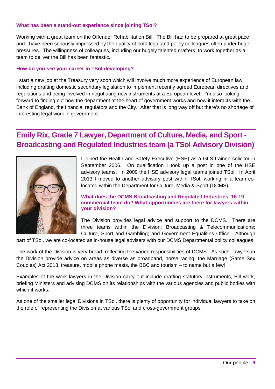### **What has been a stand-out experience since joining TSol?**

Working with a great team on the Offender Rehabilitation Bill. The Bill had to be prepared at great pace and I have been seriously impressed by the quality of both legal and policy colleagues often under huge pressures. The willingness of colleagues, including our hugely talented drafters, to work together as a team to deliver the Bill has been fantastic.

### **How do you see your career in TSol developing?**

I start a new job at the Treasury very soon which will involve much more experience of European law including drafting domestic secondary legislation to implement recently agreed European directives and regulations and being involved in negotiating new instruments at a European level. I'm also looking forward to finding out how the department at the heart of government works and how it interacts with the Bank of England, the financial regulators and the City. After that is long way off but there's no shortage of interesting legal work in government.

# **Emily Rix, Grade 7 Lawyer, Department of Culture, Media, and Sport - Broadcasting and Regulated Industries team (a TSol Advisory Division)**



I joined the Health and Safety Executive (HSE) as a GLS trainee solicitor in September 2006. On qualification I took up a post in one of the HSE advisory teams. In 2009 the HSE advisory legal teams joined TSol. In April 2013 I moved to another advisory post within TSol, working in a team colocated within the Department for Culture, Media & Sport (DCMS).

### **What does the DCMS Broadcasting and Regulated Industries, 16-19 commercial team do? What opportunities are there for lawyers within your division?**

The Division provides legal advice and support to the DCMS. There are three teams within the Division: Broadcasting & Telecommunications; Culture, Sport and Gambling; and Government Equalities Office. Although

part of TSol, we are co-located as in-house legal advisers with our DCMS Departmental policy colleagues.

The work of the Division is very broad, reflecting the varied responsibilities of DCMS. As such, lawyers in the Division provide advice on areas as diverse as broadband, horse racing, the Marriage (Same Sex Couples) Act 2013, treasure, mobile phone masts, the BBC and tourism – to name but a few!

Examples of the work lawyers in the Division carry out include drafting statutory instruments, Bill work, briefing Ministers and advising DCMS on its relationships with the various agencies and public bodies with which it works.

As one of the smaller legal Divisions in TSol, there is plenty of opportunity for individual lawyers to take on the role of representing the Division at various TSol and cross-government groups.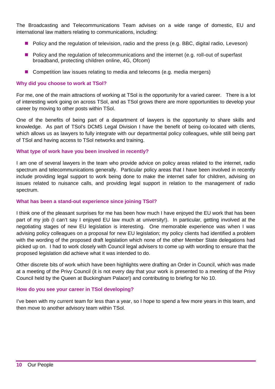The Broadcasting and Telecommunications Team advises on a wide range of domestic, EU and international law matters relating to communications, including:

- **Policy and the regulation of television, radio and the press (e.g. BBC, digital radio, Leveson)**
- **Policy and the regulation of telecommunications and the internet (e.g. roll-out of superfast** broadband, protecting children online, 4G, Ofcom)
- **Competition law issues relating to media and telecoms (e.g. media mergers)**

### **Why did you choose to work at TSol?**

For me, one of the main attractions of working at TSol is the opportunity for a varied career. There is a lot of interesting work going on across TSol, and as TSol grows there are more opportunities to develop your career by moving to other posts within TSol.

One of the benefits of being part of a department of lawyers is the opportunity to share skills and knowledge. As part of TSol's DCMS Legal Division I have the benefit of being co-located with clients, which allows us as lawyers to fully integrate with our departmental policy colleagues, while still being part of TSol and having access to TSol networks and training.

### **What type of work have you been involved in recently?**

I am one of several lawyers in the team who provide advice on policy areas related to the internet, radio spectrum and telecommunications generally. Particular policy areas that I have been involved in recently include providing legal support to work being done to make the internet safer for children, advising on issues related to nuisance calls, and providing legal support in relation to the management of radio spectrum.

### **What has been a stand-out experience since joining TSol?**

I think one of the pleasant surprises for me has been how much I have enjoyed the EU work that has been part of my job (I can't say I enjoyed EU law much at university!). In particular, getting involved at the negotiating stages of new EU legislation is interesting. One memorable experience was when I was advising policy colleagues on a proposal for new EU legislation; my policy clients had identified a problem with the wording of the proposed draft legislation which none of the other Member State delegations had picked up on. I had to work closely with Council legal advisers to come up with wording to ensure that the proposed legislation did achieve what it was intended to do.

Other discrete bits of work which have been highlights were drafting an Order in Council, which was made at a meeting of the Privy Council (it is not every day that your work is presented to a meeting of the Privy Council held by the Queen at Buckingham Palace!) and contributing to briefing for No 10.

### **How do you see your career in TSol developing?**

I've been with my current team for less than a year, so I hope to spend a few more years in this team, and then move to another advisory team within TSol.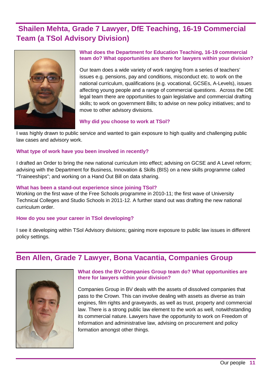# **Shailen Mehta, Grade 7 Lawyer, DfE Teaching, 16-19 Commercial Team (a TSol Advisory Division)**



### **What does the Department for Education Teaching, 16-19 commercial team do? What opportunities are there for lawyers within your division?**

Our team does a wide variety of work ranging from a series of teachers' issues e.g. pensions, pay and conditions, misconduct etc. to work on the national curriculum, qualifications (e.g. vocational, GCSEs, A-Levels), issues affecting young people and a range of commercial questions. Across the DfE legal team there are opportunities to gain legislative and commercial drafting skills; to work on government Bills; to advise on new policy initiatives; and to move to other advisory divisions.

### **Why did you choose to work at TSol?**

I was highly drawn to public service and wanted to gain exposure to high quality and challenging public law cases and advisory work.

### **What type of work have you been involved in recently?**

I drafted an Order to bring the new national curriculum into effect; advising on GCSE and A Level reform; advising with the Department for Business, Innovation & Skills (BIS) on a new skills programme called "Traineeships"; and working on a Hand Out Bill on data sharing.

### **What has been a stand-out experience since joining TSol?**

Working on the first wave of the Free Schools programme in 2010-11; the first wave of University Technical Colleges and Studio Schools in 2011-12. A further stand out was drafting the new national curriculum order.

### **How do you see your career in TSol developing?**

I see it developing within TSol Advisory divisions; gaining more exposure to public law issues in different policy settings.

## **Ben Allen, Grade 7 Lawyer, Bona Vacantia, Companies Group**



### **What does the BV Companies Group team do? What opportunities are there for lawyers within your division?**

Companies Group in BV deals with the assets of dissolved companies that pass to the Crown. This can involve dealing with assets as diverse as train engines, film rights and graveyards, as well as trust, property and commercial law. There is a strong public law element to the work as well, notwithstanding its commercial nature. Lawyers have the opportunity to work on Freedom of Information and administrative law, advising on procurement and policy formation amongst other things.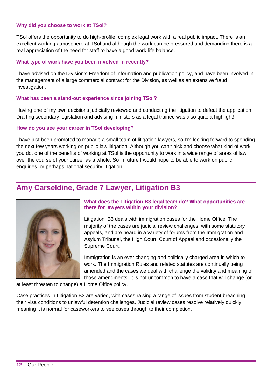### **Why did you choose to work at TSol?**

TSol offers the opportunity to do high-profile, complex legal work with a real public impact. There is an excellent working atmosphere at TSol and although the work can be pressured and demanding there is a real appreciation of the need for staff to have a good work-life balance.

### **What type of work have you been involved in recently?**

I have advised on the Division's Freedom of Information and publication policy, and have been involved in the management of a large commercial contract for the Division, as well as an extensive fraud investigation.

### **What has been a stand-out experience since joining TSol?**

Having one of my own decisions judicially reviewed and conducting the litigation to defeat the application. Drafting secondary legislation and advising ministers as a legal trainee was also quite a highlight!

### **How do you see your career in TSol developing?**

I have just been promoted to manage a small team of litigation lawyers, so I'm looking forward to spending the next few years working on public law litigation. Although you can't pick and choose what kind of work you do, one of the benefits of working at TSol is the opportunity to work in a wide range of areas of law over the course of your career as a whole. So in future I would hope to be able to work on public enquiries, or perhaps national security litigation.

### **Amy Carseldine, Grade 7 Lawyer, Litigation B3**



### **What does the Litigation B3 legal team do? What opportunities are there for lawyers within your division?**

Litigation B3 deals with immigration cases for the Home Office. The majority of the cases are judicial review challenges, with some statutory appeals, and are heard in a variety of forums from the Immigration and Asylum Tribunal, the High Court, Court of Appeal and occasionally the Supreme Court.

Immigration is an ever changing and politically charged area in which to work. The Immigration Rules and related statutes are continually being amended and the cases we deal with challenge the validity and meaning of those amendments. It is not uncommon to have a case that will change (or

at least threaten to change) a Home Office policy.

Case practices in Litigation B3 are varied, with cases raising a range of issues from student breaching their visa conditions to unlawful detention challenges. Judicial review cases resolve relatively quickly, meaning it is normal for caseworkers to see cases through to their completion.